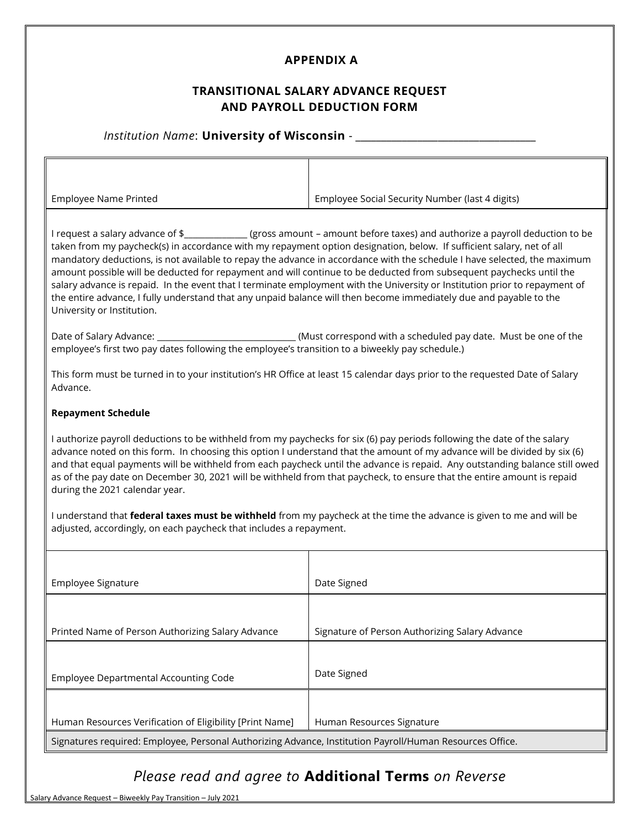## **APPENDIX A**

### **TRANSITIONAL SALARY ADVANCE REQUEST AND PAYROLL DEDUCTION FORM**

### *Institution Name*: **University of Wisconsin** - \_\_\_\_\_\_\_\_\_\_\_\_\_\_\_\_\_\_\_\_\_\_\_\_\_\_\_\_\_\_\_\_\_\_\_

| <b>Employee Name Printed</b>                                                                                                                                                                                                                                                                                                                                                                                                                                                                                                                                                                                                                                                                                                                                                               | Employee Social Security Number (last 4 digits)                |
|--------------------------------------------------------------------------------------------------------------------------------------------------------------------------------------------------------------------------------------------------------------------------------------------------------------------------------------------------------------------------------------------------------------------------------------------------------------------------------------------------------------------------------------------------------------------------------------------------------------------------------------------------------------------------------------------------------------------------------------------------------------------------------------------|----------------------------------------------------------------|
| I request a salary advance of \$_______________(gross amount – amount before taxes) and authorize a payroll deduction to be<br>taken from my paycheck(s) in accordance with my repayment option designation, below. If sufficient salary, net of all<br>mandatory deductions, is not available to repay the advance in accordance with the schedule I have selected, the maximum<br>amount possible will be deducted for repayment and will continue to be deducted from subsequent paychecks until the<br>salary advance is repaid. In the event that I terminate employment with the University or Institution prior to repayment of<br>the entire advance, I fully understand that any unpaid balance will then become immediately due and payable to the<br>University or Institution. |                                                                |
| employee's first two pay dates following the employee's transition to a biweekly pay schedule.)                                                                                                                                                                                                                                                                                                                                                                                                                                                                                                                                                                                                                                                                                            | (Must correspond with a scheduled pay date. Must be one of the |

This form must be turned in to your institution's HR Office at least 15 calendar days prior to the requested Date of Salary Advance.

#### **Repayment Schedule**

I authorize payroll deductions to be withheld from my paychecks for six (6) pay periods following the date of the salary advance noted on this form. In choosing this option I understand that the amount of my advance will be divided by six (6) and that equal payments will be withheld from each paycheck until the advance is repaid. Any outstanding balance still owed as of the pay date on December 30, 2021 will be withheld from that paycheck, to ensure that the entire amount is repaid during the 2021 calendar year.

I understand that **federal taxes must be withheld** from my paycheck at the time the advance is given to me and will be adjusted, accordingly, on each paycheck that includes a repayment.

| Employee Signature                                                                                       | Date Signed                                    |
|----------------------------------------------------------------------------------------------------------|------------------------------------------------|
|                                                                                                          |                                                |
| Printed Name of Person Authorizing Salary Advance                                                        | Signature of Person Authorizing Salary Advance |
|                                                                                                          |                                                |
| Employee Departmental Accounting Code                                                                    | Date Signed                                    |
|                                                                                                          |                                                |
| Human Resources Verification of Eligibility [Print Name]                                                 | Human Resources Signature                      |
| Signatures required: Employee, Personal Authorizing Advance, Institution Payroll/Human Resources Office. |                                                |

# *Please read and agree to* **Additional Terms** *on Reverse*